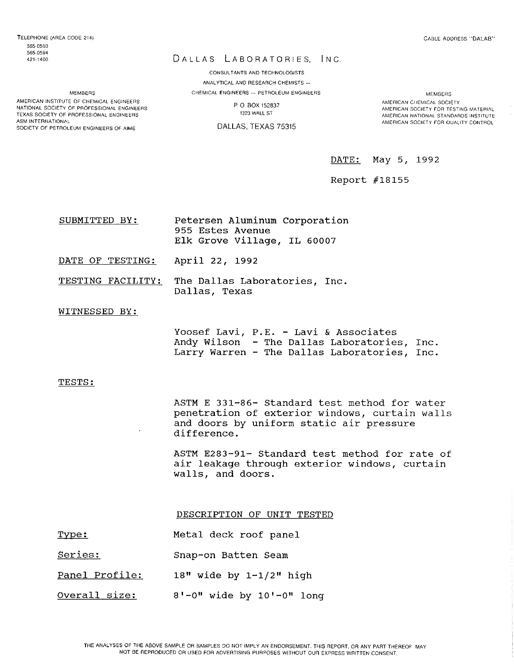AMERICAN INSTITUTE OF CHEMICAL ENGINEERS NATIONAL SOCIETY OF PROFESSIONAL ENGINEERS TEXAS SOCIETY OF PROFESSIONAL ENGINEERS ASM INTERNATIONAL SOCIETY OF PETROLEUM ENGINEERS OF AIME

## DALLAS LABORATORIES, INC.

CONSULTANTS AND TECHNOLOGISTS ANALYTICAL AND RESEARCH CHEMISTS ---CHEMICAL ENGINEERS - PETROLEUM ENGINEERS

> p. 0 SOX 152837 1323 WALL ST

DALLAS, TEXAS 75315

CABLE ADDRESS "DALAB"

**MEMBERS** AMERICAN CHEMICAL SOCIETY AMEHICAN SOCIETY Fon TESTING MATERIAL AMERICAN NATIONAL STANDARDS INSTITUTE AMERICAN SOCIETY FOR OUALITY CONTROL

DATE: May 5, 1992

Report #18155

| SUBMITTED BY: | Petersen Aluminum Corporation                   |  |
|---------------|-------------------------------------------------|--|
|               | 955 Estes Avenue<br>Elk Grove Village, IL 60007 |  |

DATE OF TESTING: April 22, 1992

TESTING FACILITY: The Dallas Laboratories, Inc. Dallas, Texas

## WITNESSED BY:

Yoosef Lavi, P.E. - Lavi & Associates Andy Wilson - The Dallas Laboratories, Inc. Larry Warren - The Dallas Laboratories, Inc.

#### TESTS:

ASTM E 331-86- Standard test method for water penetration of exterior windows, curtain walls and doors by uniform static air pressure difference.

ASTM E283-91- Standard test method for rate of air leakage through exterior windows, curtain walls, and doors.

DESCRIPTION OF UNIT TESTED

- Type: Metal deck roof panel
- series: Snap-on Batten Seam
- Panel Profile: 18" wide by 1-1/2" high
- Overall size:  $8' - 0$ " wide by  $10' - 0$ " long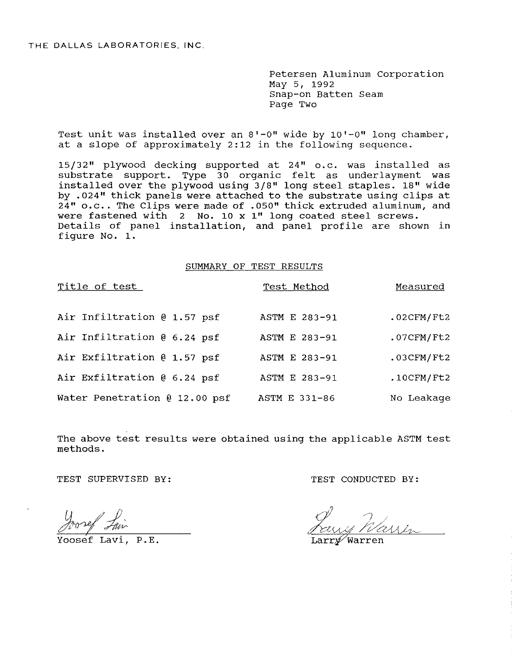Petersen Aluminum Corporation May 5, 1992 Snap-on Batten Seam Page Two

Test unit was installed over an 8'-0" wide by 10'-0" long chamber, at a slope of approximately 2:12 in the following sequence.

15/32" plywood decking supported at 24" o.c. was installed as substrate support. Type 30 organic felt as underlayment was installed over the plywood using 3/8" long steel staples. 18" wide by .024" thick panels were attached to the substrate using clips at  $24"$  o.c.. The Clips were made of .050" thick extruded aluminum, and were fastened with 2 No. 10 x 1" long coated steel screws. Details of panel installation, and panel profile are shown in figure No. 1.

### SUMMARY OF TEST RESULTS

| Title of test                 | Test Method   | Measured      |
|-------------------------------|---------------|---------------|
| Air Infiltration @ 1.57 psf   | ASTM E 283-91 | $.02$ CFM/Ft2 |
| Air Infiltration @ 6.24 psf   | ASTM E 283-91 | $.07$ CFM/Ft2 |
| Air Exfiltration @ 1.57 psf   | ASTM E 283-91 | $.03$ CFM/Ft2 |
| Air Exfiltration @ 6.24 psf   | ASTM E 283-91 | $.10$ CFM/Ft2 |
| Water Penetration @ 12.00 psf | ASTM E 331-86 | No Leakage    |

The above test results were obtained using the applicable ASTM test methods.

Yoosef Lavi, P.E.

TEST SUPERVISED BY: TEST CONDUCTED BY: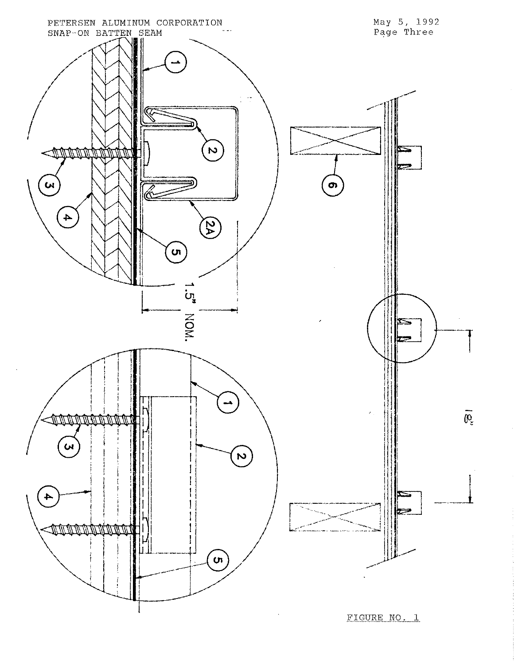